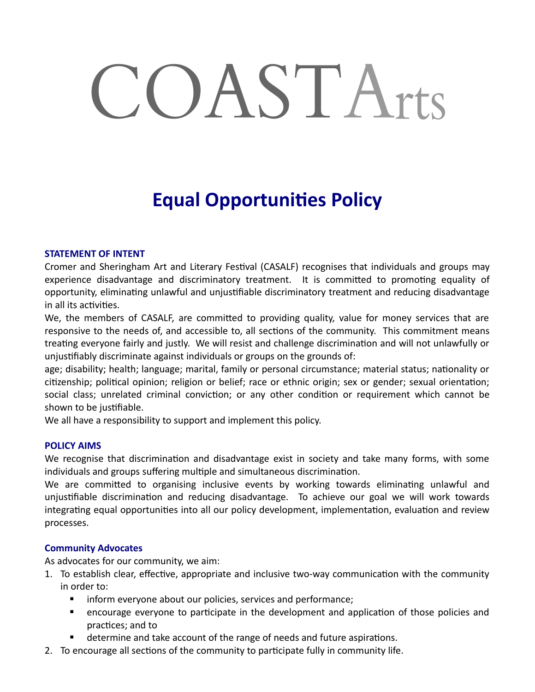# COASTArts

# **Equal Opportunities Policy**

#### **STATEMENT OF INTENT**

Cromer and Sheringham Art and Literary Festival (CASALF) recognises that individuals and groups may experience disadvantage and discriminatory treatment. It is committed to promoting equality of opportunity, eliminating unlawful and unjustifiable discriminatory treatment and reducing disadvantage in all its activities.

We, the members of CASALF, are committed to providing quality, value for money services that are responsive to the needs of, and accessible to, all sections of the community. This commitment means treating everyone fairly and justly. We will resist and challenge discrimination and will not unlawfully or unjustifiably discriminate against individuals or groups on the grounds of:

age; disability; health; language; marital, family or personal circumstance; material status; nationality or citizenship; political opinion; religion or belief; race or ethnic origin; sex or gender; sexual orientation; social class; unrelated criminal conviction; or any other condition or requirement which cannot be shown to be justifiable.

We all have a responsibility to support and implement this policy.

#### **POLICY AIMS**

We recognise that discrimination and disadvantage exist in society and take many forms, with some individuals and groups suffering multiple and simultaneous discrimination.

We are committed to organising inclusive events by working towards eliminating unlawful and unjustifiable discrimination and reducing disadvantage. To achieve our goal we will work towards integrating equal opportunities into all our policy development, implementation, evaluation and review processes.

#### **Community Advocates**

As advocates for our community, we aim:

- 1. To establish clear, effective, appropriate and inclusive two-way communication with the community in order to:
	- **IF** inform everyone about our policies, services and performance;
	- encourage everyone to participate in the development and application of those policies and practices; and to
	- determine and take account of the range of needs and future aspirations.
- 2. To encourage all sections of the community to participate fully in community life.